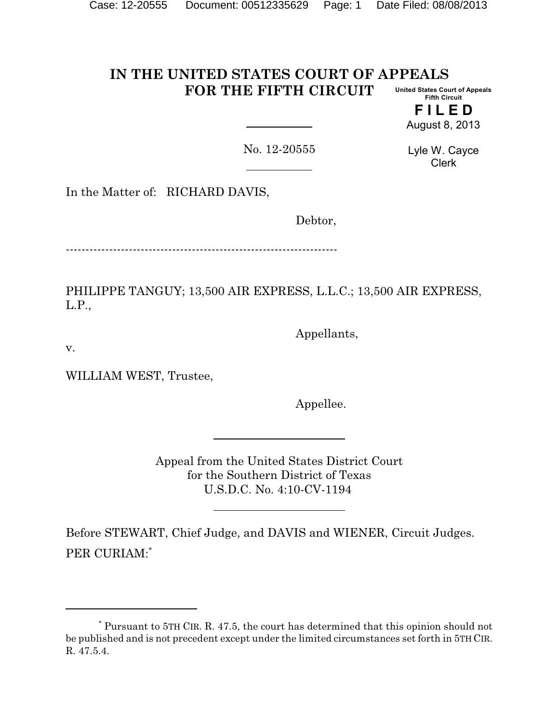#### **IN THE UNITED STATES COURT OF APPEALS FOR THE FIFTH CIRCUIT United States Court of Appeals Fifth Circuit**

**F I L E D** August 8, 2013

No. 12-20555

Lyle W. Cayce Clerk

In the Matter of: RICHARD DAVIS,

Debtor,

---------------------------------------------------------------------

PHILIPPE TANGUY; 13,500 AIR EXPRESS, L.L.C.; 13,500 AIR EXPRESS, L.P.,

Appellants,

v.

WILLIAM WEST, Trustee,

Appellee.

Appeal from the United States District Court for the Southern District of Texas U.S.D.C. No. 4:10-CV-1194

Before STEWART, Chief Judge, and DAVIS and WIENER, Circuit Judges. PER CURIAM:\*

<sup>\*</sup> Pursuant to 5TH CIR. R. 47.5, the court has determined that this opinion should not be published and is not precedent except under the limited circumstances set forth in 5TH CIR. R. 47.5.4.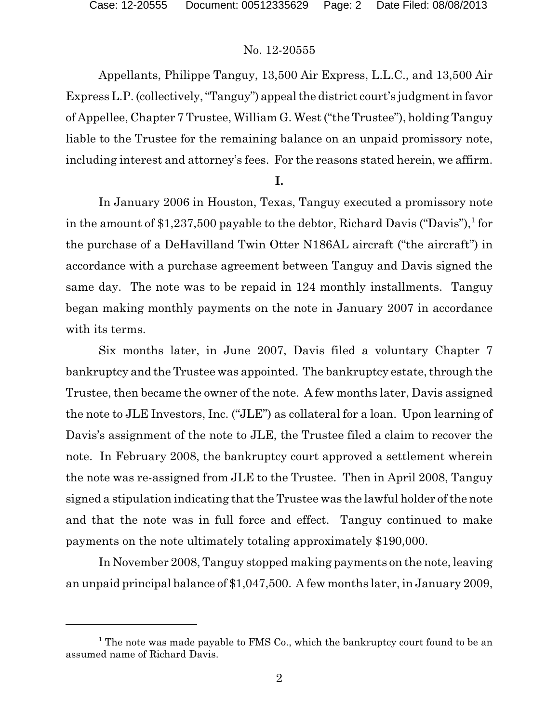Appellants, Philippe Tanguy, 13,500 Air Express, L.L.C., and 13,500 Air Express L.P. (collectively,"Tanguy") appealthe district court's judgment in favor of Appellee, Chapter 7 Trustee, William G. West ("the Trustee"), holding Tanguy liable to the Trustee for the remaining balance on an unpaid promissory note, including interest and attorney's fees. For the reasons stated herein, we affirm.

#### **I.**

In January 2006 in Houston, Texas, Tanguy executed a promissory note in the amount of \$1,237,500 payable to the debtor, Richard Davis ("Davis"),<sup>1</sup> for the purchase of a DeHavilland Twin Otter N186AL aircraft ("the aircraft") in accordance with a purchase agreement between Tanguy and Davis signed the same day. The note was to be repaid in 124 monthly installments. Tanguy began making monthly payments on the note in January 2007 in accordance with its terms.

Six months later, in June 2007, Davis filed a voluntary Chapter 7 bankruptcy and the Trustee was appointed. The bankruptcy estate, through the Trustee, then became the owner of the note. A few months later, Davis assigned the note to JLE Investors, Inc. ("JLE") as collateral for a loan. Upon learning of Davis's assignment of the note to JLE, the Trustee filed a claim to recover the note. In February 2008, the bankruptcy court approved a settlement wherein the note was re-assigned from JLE to the Trustee. Then in April 2008, Tanguy signed a stipulation indicating that the Trustee was the lawful holder of the note and that the note was in full force and effect. Tanguy continued to make payments on the note ultimately totaling approximately \$190,000.

In November 2008, Tanguy stopped making payments on the note, leaving an unpaid principal balance of \$1,047,500. A few months later, in January 2009,

<sup>&</sup>lt;sup>1</sup> The note was made payable to FMS Co., which the bankruptcy court found to be an assumed name of Richard Davis.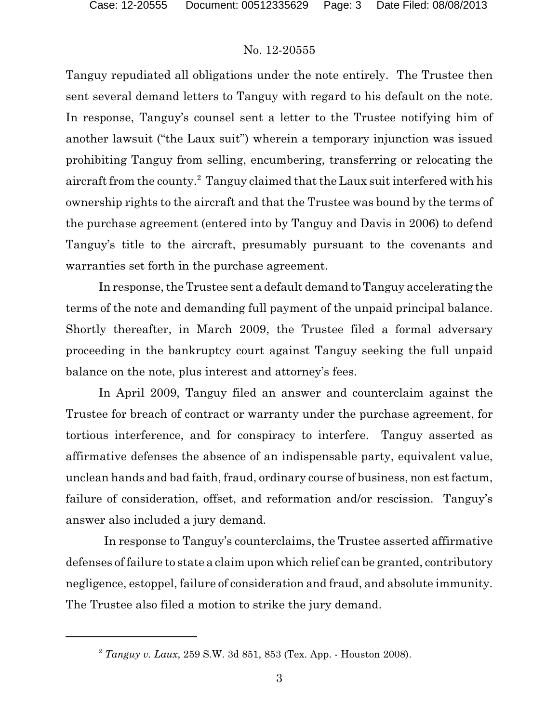Tanguy repudiated all obligations under the note entirely. The Trustee then sent several demand letters to Tanguy with regard to his default on the note. In response, Tanguy's counsel sent a letter to the Trustee notifying him of another lawsuit ("the Laux suit") wherein a temporary injunction was issued prohibiting Tanguy from selling, encumbering, transferring or relocating the aircraft from the county.<sup>2</sup> Tanguy claimed that the Laux suit interfered with his ownership rights to the aircraft and that the Trustee was bound by the terms of the purchase agreement (entered into by Tanguy and Davis in 2006) to defend Tanguy's title to the aircraft, presumably pursuant to the covenants and warranties set forth in the purchase agreement.

In response, the Trustee sent a default demand to Tanguy accelerating the terms of the note and demanding full payment of the unpaid principal balance. Shortly thereafter, in March 2009, the Trustee filed a formal adversary proceeding in the bankruptcy court against Tanguy seeking the full unpaid balance on the note, plus interest and attorney's fees.

In April 2009, Tanguy filed an answer and counterclaim against the Trustee for breach of contract or warranty under the purchase agreement, for tortious interference, and for conspiracy to interfere. Tanguy asserted as affirmative defenses the absence of an indispensable party, equivalent value, unclean hands and bad faith, fraud, ordinary course of business, non est factum, failure of consideration, offset, and reformation and/or rescission. Tanguy's answer also included a jury demand.

In response to Tanguy's counterclaims, the Trustee asserted affirmative defenses of failure to state a claim upon which relief can be granted, contributory negligence, estoppel, failure of consideration and fraud, and absolute immunity. The Trustee also filed a motion to strike the jury demand.

<sup>2</sup> *Tanguy v. Laux*, 259 S.W. 3d 851, 853 (Tex. App. - Houston 2008).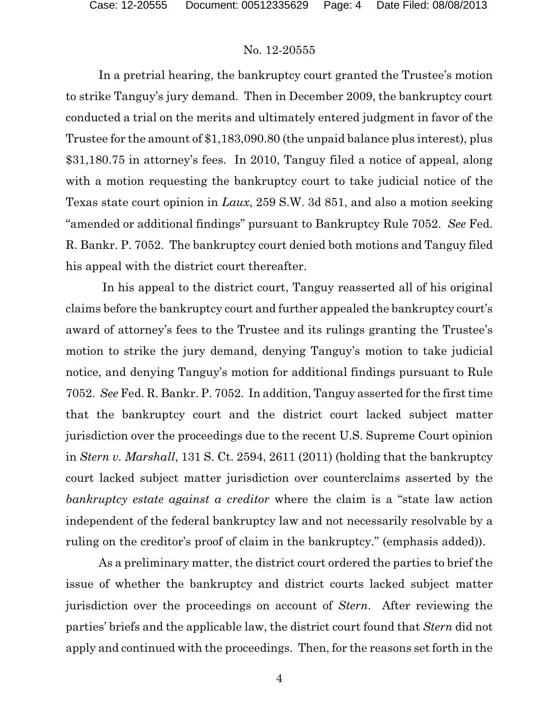In a pretrial hearing, the bankruptcy court granted the Trustee's motion to strike Tanguy's jury demand. Then in December 2009, the bankruptcy court conducted a trial on the merits and ultimately entered judgment in favor of the Trustee for the amount of \$1,183,090.80 (the unpaid balance plus interest), plus \$31,180.75 in attorney's fees. In 2010, Tanguy filed a notice of appeal, along with a motion requesting the bankruptcy court to take judicial notice of the Texas state court opinion in *Laux*, 259 S.W. 3d 851, and also a motion seeking "amended or additional findings" pursuant to Bankruptcy Rule 7052. *See* Fed. R. Bankr. P. 7052. The bankruptcy court denied both motions and Tanguy filed his appeal with the district court thereafter.

In his appeal to the district court, Tanguy reasserted all of his original claims before the bankruptcy court and further appealed the bankruptcy court's award of attorney's fees to the Trustee and its rulings granting the Trustee's motion to strike the jury demand, denying Tanguy's motion to take judicial notice, and denying Tanguy's motion for additional findings pursuant to Rule 7052. *See* Fed. R. Bankr. P. 7052. In addition, Tanguy asserted for the first time that the bankruptcy court and the district court lacked subject matter jurisdiction over the proceedings due to the recent U.S. Supreme Court opinion in *Stern v. Marshall*, 131 S. Ct. 2594, 2611 (2011) (holding that the bankruptcy court lacked subject matter jurisdiction over counterclaims asserted by the *bankruptcy estate against a creditor* where the claim is a "state law action independent of the federal bankruptcy law and not necessarily resolvable by a ruling on the creditor's proof of claim in the bankruptcy." (emphasis added)).

As a preliminary matter, the district court ordered the parties to brief the issue of whether the bankruptcy and district courts lacked subject matter jurisdiction over the proceedings on account of *Stern*. After reviewing the parties' briefs and the applicable law, the district court found that *Stern* did not apply and continued with the proceedings. Then, for the reasons set forth in the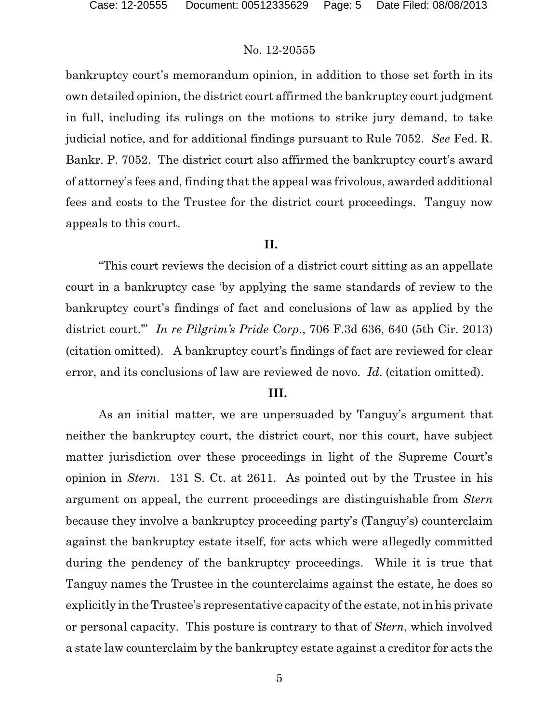bankruptcy court's memorandum opinion, in addition to those set forth in its own detailed opinion, the district court affirmed the bankruptcy court judgment in full, including its rulings on the motions to strike jury demand, to take judicial notice, and for additional findings pursuant to Rule 7052. *See* Fed. R. Bankr. P. 7052. The district court also affirmed the bankruptcy court's award of attorney's fees and, finding that the appeal was frivolous, awarded additional fees and costs to the Trustee for the district court proceedings. Tanguy now appeals to this court.

## **II.**

"This court reviews the decision of a district court sitting as an appellate court in a bankruptcy case 'by applying the same standards of review to the bankruptcy court's findings of fact and conclusions of law as applied by the district court.'" *In re Pilgrim's Pride Corp*., 706 F.3d 636, 640 (5th Cir. 2013) (citation omitted). A bankruptcy court's findings of fact are reviewed for clear error, and its conclusions of law are reviewed de novo. *Id*. (citation omitted).

#### **III.**

As an initial matter, we are unpersuaded by Tanguy's argument that neither the bankruptcy court, the district court, nor this court, have subject matter jurisdiction over these proceedings in light of the Supreme Court's opinion in *Stern*. 131 S. Ct. at 2611. As pointed out by the Trustee in his argument on appeal, the current proceedings are distinguishable from *Stern* because they involve a bankruptcy proceeding party's (Tanguy's) counterclaim against the bankruptcy estate itself, for acts which were allegedly committed during the pendency of the bankruptcy proceedings. While it is true that Tanguy names the Trustee in the counterclaims against the estate, he does so explicitly in the Trustee's representative capacity of the estate, not in his private or personal capacity. This posture is contrary to that of *Stern*, which involved a state law counterclaim by the bankruptcy estate against a creditor for acts the